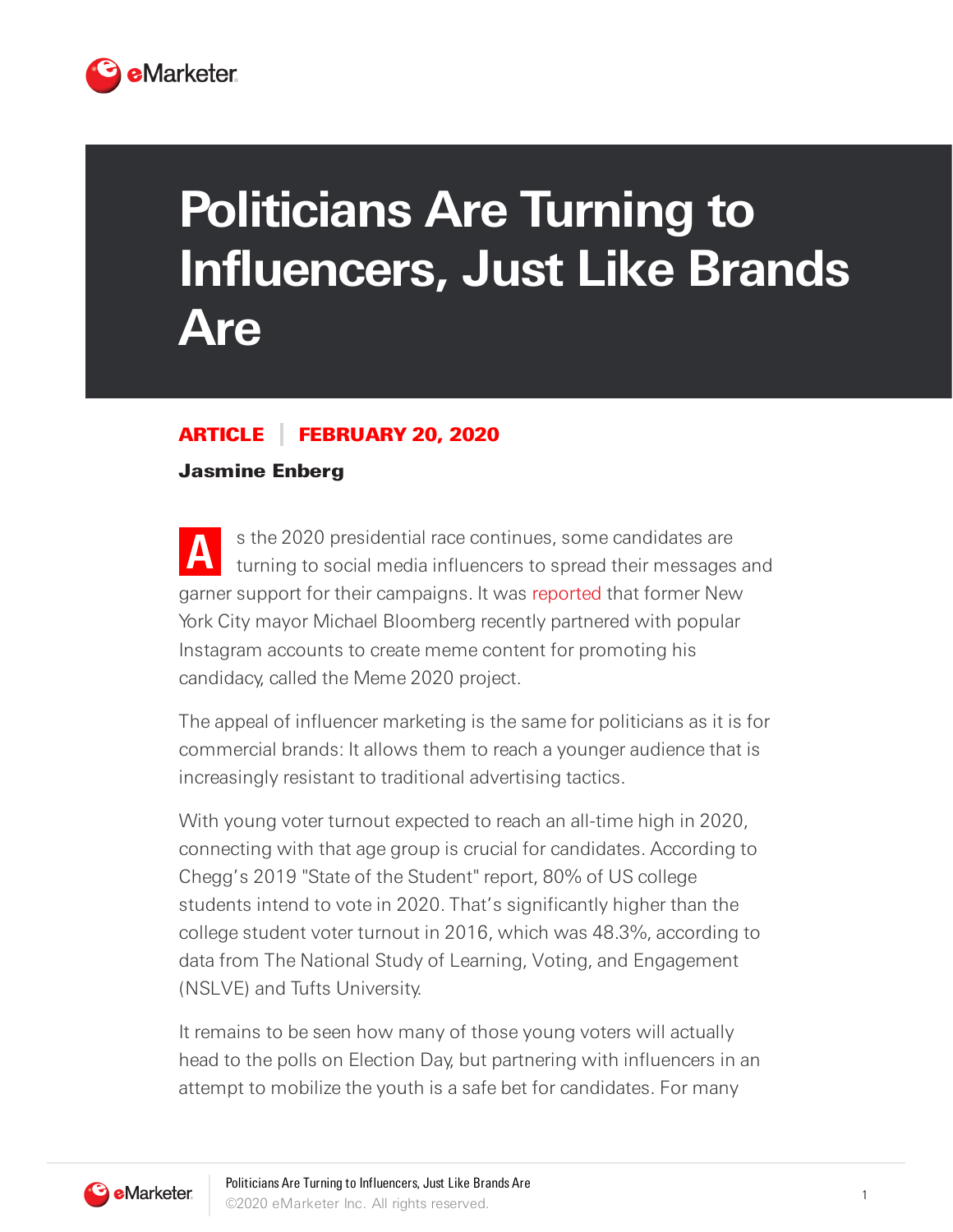

## **Politicians Are Turning to Influencers, Just Like Brands Are**

## ARTICLE FEBRUARY 20, 2020

## Jasmine Enberg

**A** s the 2020 presidential race continues, some candidates are turning to social media influencers to spread their messages and garner support for their campaigns. It was [reported](https://www.thedailybeast.com/mike-bloomberg-is-paying-influencers-to-make-him-seem-cool-9) that former New York City mayor Michael Bloomberg recently partnered with popular Instagram accounts to create meme content for promoting his candidacy, called the Meme 2020 project.

The appeal of influencer marketing is the same for politicians as it is for commercial brands: It allows them to reach a younger audience that is increasingly resistant to traditional advertising tactics.

With young voter turnout expected to reach an all-time high in 2020, connecting with that age group is crucial for candidates. According to Chegg's 2019 "State of the Student" report, 80% of US college students intend to vote in 2020. That's significantly higher than the college student voter turnout in 2016, which was 48.3%, according to data from The National Study of Learning, Voting, and Engagement (NSLVE) and Tufts University.

It remains to be seen how many of those young voters will actually head to the polls on Election Day, but partnering with influencers in an attempt to mobilize the youth is a safe bet for candidates. For many

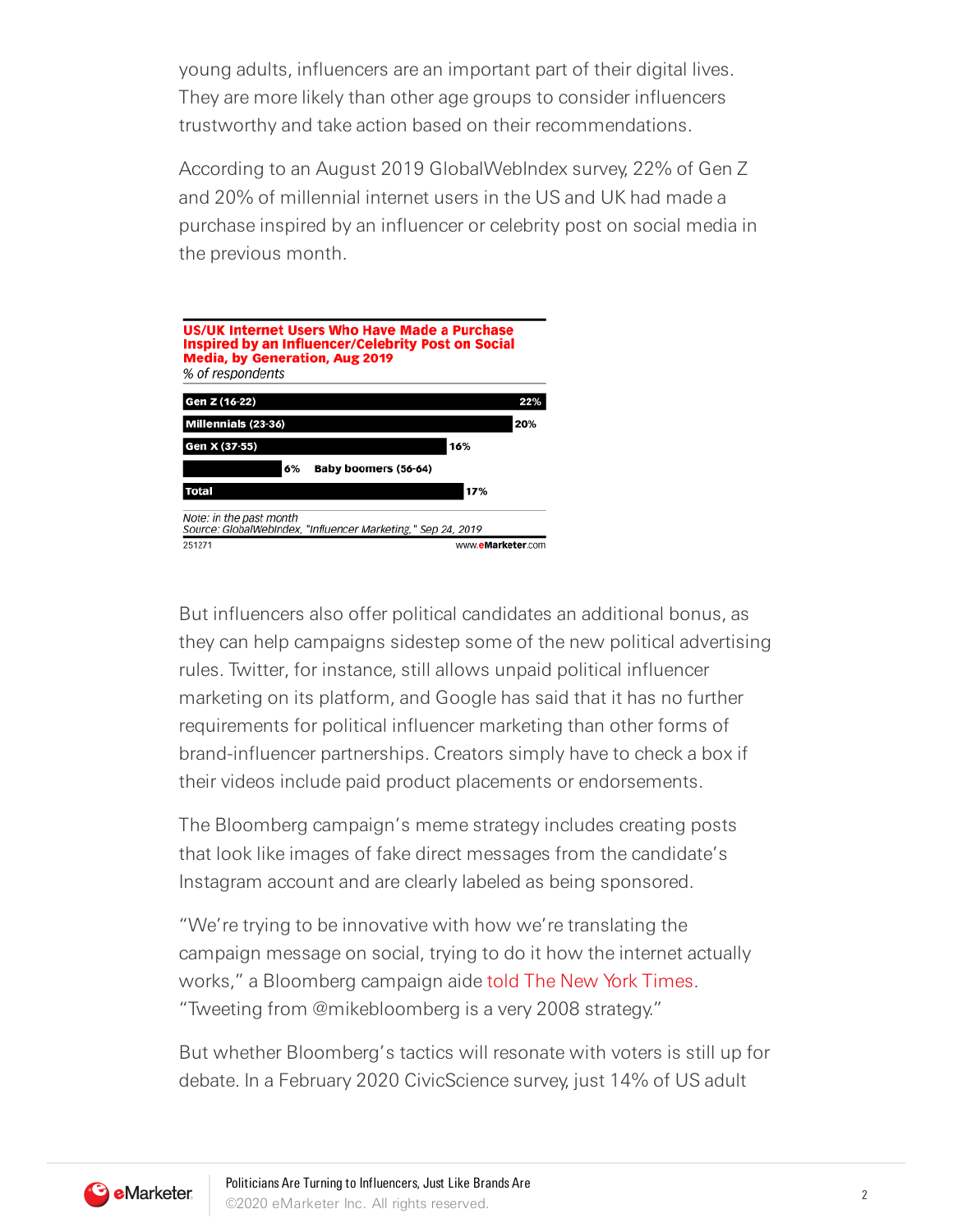young adults, influencers are an important part of their digital lives. They are more likely than other age groups to consider influencers trustworthy and take action based on their recommendations.

According to an August 2019 GlobalWebIndex survey, 22% of Gen Z and 20% of millennial internet users in the US and UK had made a purchase inspired by an influencer or celebrity post on social media in the previous month.



But influencers also offer political candidates an additional bonus, as they can help campaigns sidestep some of the new political advertising rules. Twitter, for instance, still allows unpaid political influencer marketing on its platform, and Google has said that it has no further requirements for political influencer marketing than other forms of brand-influencer partnerships. Creators simply have to check a box if their videos include paid product placements or endorsements.

The Bloomberg campaign's meme strategy includes creating posts that look like images of fake direct messages from the candidate's Instagram account and are clearly labeled as being sponsored.

"We're trying to be innovative with how we're translating the campaign message on social, trying to do it how the internet actually works," a Bloomberg campaign aide told The New York [Times.](https://www.nytimes.com/2020/02/13/style/michael-bloomberg-memes-jerry-media.html) "Tweeting from @mikebloomberg is a very 2008 strategy."

But whether Bloomberg's tactics will resonate with voters is still up for debate. In a February 2020 CivicScience survey, just 14% of US adult